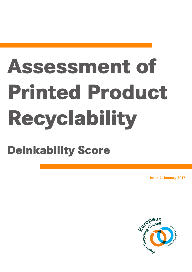# **Assessment of Printed Product Recyclability**

# **Deinkability Score**

**Issue 2, January 2017**

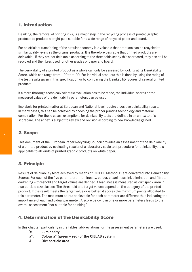# **1. Introduction**

Deinking, the removal of printing inks, is a major step in the recycling process of printed graphic products to produce a bright pulp suitable for a wide range of recycled paper and board.

For an efficient functioning of the circular economy it is valuable that products can be recycled to similar quality levels as the original products. It is therefore desirable that printed products are deinkable. If they are not deinkable according to the thresholds set by this scorecard, they can still be recycled and the fibres used for other grades of paper and board.

The deinkability of a printed product as a whole can only be assessed by looking at its Deinkability Score, which can range from -100 to +100. For individual products this is done by using the rating of the test results given in this specification or by comparing the Deinkability Scores of several printed products.

If a more thorough technical/scientific evaluation has to be made, the individual scores or the measured values of the deinkability parameters can be used.

Ecolabels for printed matter at European and National level require a positive deinkability result. In many cases, this can be achieved by choosing the proper printing technology and material combination. For these cases, exemptions for deinkability tests are defined in an annex to this scorecard. The annex is subject to review and revision according to new knowledge gained.

# **2. Scope**

This document of the European Paper Recycling Council provides an assessment of the deinkability of a printed product by evaluating results of a laboratory scale test procedure for deinkability. It is applicable to all kinds of printed graphic products on white paper.

# **3. Principle**

Results of deinkability tests achieved by means of INGEDE Method 11 are converted into Deinkability Scores. For each of the five parameters – luminosity, colour, cleanliness, ink elimination and filtrate darkening – threshold and target values are defined. Cleanliness is measured as dirt speck area in two particle size classes. The threshold and target values depend on the category of the printed product. If the result meets the target value or is better, it scores the maximum points allocated to this parameter. The maximum points achievable for each parameter are different thus indicating the importance of each individual parameter. A score below 0 in one or more parameters leads to the overall assessment "not suitable for deinking".

# **4. Determination of the Deinkability Score**

In this chapter, particularly in the tables, abbreviations for the assessment parameters are used:

- **Y: Luminosity**
- **a\*: Colour a\* (green red) of the CIELAB system**
- **A: Dirt particle area**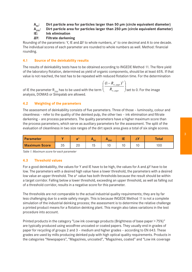**A<sub>50</sub>:** Dirt particle area for particles larger than 50 μm (circle equivalent diameter)

**A**<sub>250</sub>: Dirt particle area for particles larger than 250 μm (circle equivalent diameter)<br>IE: Ink elimination

#### **Ink elimination**

#### **ΔY: Filtrate darkening**

Rounding of the parameters: Y, IE and ΔY to whole numbers, a\* to one decimal and A to one decade. The individual scores of each parameter are rounded to whole numbers as well. Method: financial rounding.

#### **4.1 Source of the deinkability results**

The results of deinkability tests have to be obtained according to INGEDE Method 11. The fibre yield of the laboratory flotation, determined as yield of organic components, should be at least 65%. If that value is not reached, the test has to be repeated with reduced flotation time. For the determination

of IE the parameter R<sub>700</sub> has to be used with the term  $\left(\begin{array}{c} \hline \ \textcolor{red}{R_{\infty,\textit{unpr}}} \end{array}\right)$  $\overline{\phantom{a}}$ J  $\setminus$  $\mathsf{I}$  $\mathsf{I}$  $\setminus$  $(1-$ ∞ ∞ *,unpr ,unpr R*  $(1 - R_{\infty, \text{unpr}})^2$ set to 0. For the image analysis, DOMAS or Simpalab are allowed.

#### **4.2 Weighting of the parameters**

The assessment of deinkability consists of five parameters. Three of those – luminosity, colour and cleanliness – refer to the quality of the deinked pulp, the other two – ink elimination and filtrate darkening – are process parameters. The quality parameters have a higher maximum score than the process parameters, which serve as auxiliary parameters for the assessment. The split of the evaluation of cleanliness in two size ranges of the dirt speck area gives a total of six single scores.

| <b>Parameter</b>     |          |    | "50" | 250 | ΙE |   | Total |
|----------------------|----------|----|------|-----|----|---|-------|
| <b>Maximum Score</b> | つに<br>ບບ | ∠⊾ | ◡    | ، ب | ◡  | ◡ | 100   |

*Table 1: Maximum score for each parameter*

#### **4.3 Threshold values**

For a good deinkability, the values for Y and IE have to be high, the values for A and  $\Delta Y$  have to be low. The parameters with a desired high value have a lower threshold, the parameters with a desired low value an upper threshold. The a\* value has both thresholds because the result should be within a target corridor. Falling below a lower threshold, exceeding an upper threshold, as well as falling out of a threshold corridor, results in a negative score for this parameter.

The thresholds are not comparable to the actual industrial quality requirements; they are by far less challenging due to a wide safety margin. This is because INGEDE Method 11 is not a complete simulation of the industrial deinking process; the assessment is to determine the relative challenge a printed product means for a flotation deinking plant. This margin also takes variations in the test procedure into account.

Printed products in the category "Low ink coverage products (Brightness of base paper > 75%)" are typically produced using woodfree uncoated or coated papers. They usually end in grades of paper for recycling of groups 2 and 3 – medium and higher grades – according to EN 643. These grades are used by mills producing deinked pulp with high optical quality requirements. Products in the categories "Newspapers", "Magazines, uncoated", "Magazines, coated" and "Low ink coverage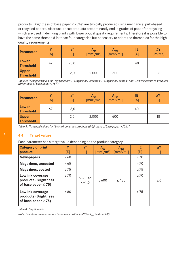products (Brightness of base paper ≤ 75%)" are typically produced using mechanical pulp-based or recycled papers. After use, these products predominantly end in grades of paper for recycling which are used in deinking plants with lower optical quality requirements. Therefore it is possible to have the same threshold in these four categories but necessary to adapt the thresholds for the high quality requirements.

| <b>Parameter</b>                 | V<br>$[\%]$ | $a^*$<br>$\lceil - \rceil$ | $A_{50}$<br>$\left[\frac{mm^2}{m^2}\right]$ | $A_{250}$<br>$\left[\text{mm}^2/\text{m}^2\right]$ | IE<br>[%] | ΔY<br>[Points] |
|----------------------------------|-------------|----------------------------|---------------------------------------------|----------------------------------------------------|-----------|----------------|
| Lower<br><b>Threshold</b>        | 47          | $-3,0$                     |                                             |                                                    | 40        |                |
| <b>Upper</b><br><b>Threshold</b> |             | 2,0                        | 2.000                                       | 600                                                |           | 18             |

*Table 2: Threshold values for "Newspapers", "Magazines, uncoated", "Magazines, coated" and "Low ink coverage products (Brightness of base paper 75%)"* 

| Parameter                        | v<br>$[\%]$ | $a^*$<br>$\lceil - \rceil$ | $A_{50}$<br>$\left[\text{mm}^2/\text{m}^2\right]$ | $A_{250}$<br>$\left[\text{mm}^2/\text{m}^2\right]$ | IE<br>[%] | ΔY<br>$\lceil - \rceil$ |
|----------------------------------|-------------|----------------------------|---------------------------------------------------|----------------------------------------------------|-----------|-------------------------|
| Lower<br><b>Threshold</b>        | 67          | $-3,0$                     |                                                   |                                                    | 40        |                         |
| <b>Upper</b><br><b>Threshold</b> |             | 2,0                        | 2.000                                             | 600                                                |           | 18                      |

*Table 3: Threshold values for "Low ink coverage products (Brightness of base paper > 75%)"*

#### **4.4 Target values**

Each parameter has a target value depending on the product category.

| <b>Category of print</b><br>product                                  | Y<br>$[\%]$ | $a^*$<br>$[\mathord{\text{--}}]$ | $A_{50}$<br>$\left[\text{mm}^2/\text{m}^2\right]$ | $A_{250}$<br>$\left[\text{mm}^2/\text{m}^2\right]$ | IE.<br>[%] | ΔY<br>$[\mathord{\text{-}}]$ |
|----------------------------------------------------------------------|-------------|----------------------------------|---------------------------------------------------|----------------------------------------------------|------------|------------------------------|
| <b>Newspapers</b>                                                    | $\geq 60$   |                                  |                                                   |                                                    | $\geq 70$  |                              |
| <b>Magazines, uncoated</b>                                           | $\geq 65$   |                                  |                                                   |                                                    | $\geq 70$  |                              |
| <b>Magazines, coated</b>                                             | $\geq$ 75   |                                  |                                                   |                                                    | $\geq$ 75  |                              |
| Low ink coverage<br>products (Brightness<br>of base paper $\leq$ 75) | $\geq 70$   | $\ge$ -2,0 to<br>$\le$ +1,0      | $\leq 600$                                        | $\leq 180$                                         | $\geq 70$  | $\leq 6$                     |
| Low ink coverage<br>products (Brightness<br>of base paper $> 75$ )   | $\geq 80$   |                                  |                                                   |                                                    | $\geq 75$  |                              |

*Table 4: Target values*

*Note: Brightness measurement is done according to ISO -*  $R_{457}$  *(without UV).*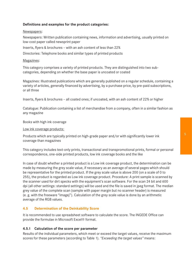#### **Definitions and examples for the product categories:**

#### Newspapers:

Newspapers: Written publication containing news, information and advertising, usually printed on low-cost paper called newsprint paper

Inserts, flyers & brochures – with an ash content of less than 22%

Directories: Telephone books and similar types of printed products

#### Magazines:

This category comprises a variety of printed products. They are distinguished into two subcategories, depending on whether the base paper is uncoated or coated

Magazines: Illustrated publications which are generally published on a regular schedule, containing a variety of articles, generally financed by advertising, by a purchase price, by pre-paid subscriptions, or all three

Inserts, flyers & brochures – all coated ones; if uncoated, with an ash content of 22% or higher

Catalogue: Publication containing a list of merchandise from a company, often in a similar fashion as any magazine

Books with high ink coverage

#### Low ink coverage products:

Products which are typically printed on high-grade paper and/or with significantly lower ink coverage than magazines

This category includes text-only prints, transactional and transpromotional prints, formal or personal correspondence, one-side printed products, low ink coverage books and the like

In case of doubt whether a printed product is a Low ink coverage product, the determination can be made by measuring the grey scale value, if necessary as an average of several pages which should be representative for the printed product. If the grey scale value is above 200 (on a scale of 0 to 255), the product is regarded as Low ink coverage product. Procedure: A print sample is scanned by the scanner used for dirt specks with the equipment's scan software. For the scan 24 bit and 600 dpi (all other settings: standard settings) will be used and the file is saved in jpeg format. The median grey value of the complete scan (sample with paper margin but no scanner header) is measured (e. g. with the freeware "imagej"). Calculation of the grey scale value is done by an arithmetic average of the RGB values.

#### **4.5 Determination of the Deinkability Score**

It is recommended to use spreadsheet software to calculate the score. The INGEDE Office can provide the formulae in Microsoft Excel® format.

#### **4.5.1 Calculation of the score per parameter**

Results of the individual parameters, which meet or exceed the target values, receive the maximum scores for these parameters (according to Table 1). *"Exceeding the target values"* means: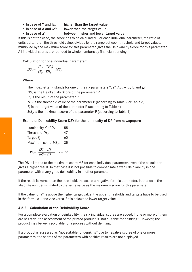- In case of Y and IE: higher than the target value
- In case of A and  $\Delta Y$ : lower than the target value
- In case of a\*: between higher and lower target value

If this is not the case, the score has to be calculated. For each individual parameter, the ratio of units better than the threshold value, divided by the range between threshold and target values, multiplied by the maximum score for this parameter, gives the Deinkability Score for this parameter. All individual scores are rounded to whole numbers by financial rounding.

#### Calculation for one individual parameter:

$$
DS_p = \frac{(R_p - TH_p)}{(T_p - TH_p)} \cdot MS_p
$$

Where

The index letter P stands for one of the six parameters Y,  $a^*$ ,  $A_{50}$ ,  $A_{250}$ , IE and  $\Delta Y$  $DS<sub>p</sub>$  is the Deinkability Score of the parameter P  $R_p$  is the result of the parameter P  $TH<sub>p</sub>$  is the threshold value of the parameter P (according to Table 2 or Table 3)  $T_p$  is the target value of the parameter P (according to Table 4)  $MS<sub>p</sub>$  is the maximum score of the parameter P (according to Table 1)

#### Example: Deinkability Score DSY for the luminosity of DP from newspapers

| Luminosity Y of $D_p$ :  | 55 |
|--------------------------|----|
| Threshold $THy$ :        | 47 |
| Target $T_{\rm y}$ :     | 60 |
| Maximum score $MS_{y}$ : | 35 |
|                          |    |

$$
DS_{\gamma} = \frac{(55 - 47)}{(60 - 47)} \cdot 35 = 22
$$

The DS is limited to the maximum score MS for each individual parameter, even if the calculation gives a higher result. In that case it is not possible to compensate a weak deinkability in one parameter with a very good deinkability in another parameter.

If the result is worse than the threshold, the score is negative for this parameter. In that case the absolute number is limited to the same value as the maximum score for this parameter.

If the value for a\* is above the higher target value, the upper thresholds and targets have to be used in the formula – and vice versa if it is below the lower target value.

#### **4.5.2 Calculation of the Deinkability Score**

For a complete evaluation of deinkability, the six individual scores are added. If one or more of them are negative, the assessment of the printed product is "not suitable for deinking". However, the product may be well recyclable for a process without deinking.

If a product is assessed as "not suitable for deinking" due to negative scores of one or more parameters, the scores of the parameters with positive results are not displayed.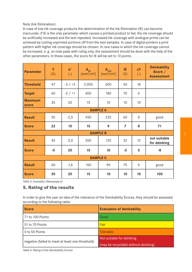Note (Ink Elimination):

In case of low ink coverage products the determination of the Ink Elimination (IE) can become inaccurate. If IE is the only parameter which causes a printed product to fail, the ink coverage should be artificially increased and the test repeated. Increased ink coverage with analogue prints can be achieved by cutting unprinted portions off from the test samples. In case of digital printers a print pattern with higher ink coverage should be chosen. In rare cases in which the ink coverage cannot be increased, e. g. on note pads with ruling only, the assessment should be done with the help of the other parameters. In these cases, the score for IE will be set to 10 points.

| <b>Parameter</b>        | Ÿ<br>$(\%)$ | $a^*$<br>$(-)$ | $A_{50}$<br>(mm <sup>2</sup> /m <sup>2</sup> ] | $A_{250}$<br>(mm <sup>2</sup> /m <sup>2</sup> ) | IE<br>$[\%]$   | $\Delta\mathbf{Y}$<br>$(-)$ | <b>Deinkability</b><br>Score $/$<br><b>Assessment</b> |
|-------------------------|-------------|----------------|------------------------------------------------|-------------------------------------------------|----------------|-----------------------------|-------------------------------------------------------|
| <b>Threshold</b>        | 47          | $-3/ +2$       | 2.000                                          | 600                                             | 40             | 18                          |                                                       |
| <b>Target</b>           | 60          | $-2/11$        | 600                                            | 180                                             | 70             | 6                           |                                                       |
| <b>Maximum</b><br>score | 35          | 20             | 15                                             | 10                                              | 10             | 10                          |                                                       |
| <b>SAMPLE A</b>         |             |                |                                                |                                                 |                |                             |                                                       |
| <b>Result</b>           | 55          | $-2,5$         | 450                                            | 220                                             | 60             | 8                           | good                                                  |
| <b>Score</b>            | 22          | 10             | 15                                             | 9                                               | $\overline{7}$ | 8                           | 71                                                    |
| <b>SAMPLE B</b>         |             |                |                                                |                                                 |                |                             |                                                       |
| <b>Result</b>           | 45          | $-2,0$         | 200                                            | 120                                             | 32             | 12                          | not suitable<br>for deinking                          |
| <b>Score</b>            | $-5$        | 20             | 15                                             | 10                                              | $-3$           | 5                           | $-8$                                                  |
| <b>SAMPLE C</b>         |             |                |                                                |                                                 |                |                             |                                                       |
| <b>Result</b>           | 60          | $-1,6$         | 150                                            | 90                                              | 75             | 5                           | good                                                  |
| <b>Score</b>            | 35          | 20             | 15                                             | 10                                              | 10             | 10                          | 100                                                   |

*Table 5: Examples (Newspapers)*

## **5. Rating of the results**

In order to give the user an idea of the relevance of the Deinkability Scores, they should be assessed according to the following table:

| <b>Score</b>                                     | <b>Evaluation of deinkability</b>    |  |
|--------------------------------------------------|--------------------------------------|--|
| 71 to 100 Points                                 | Good                                 |  |
| 51 to 70 Points                                  | Fair                                 |  |
| 0 to 50 Points                                   | Tolerable                            |  |
| negative (failed to meet at least one threshold) | Not suitable for deinking            |  |
|                                                  | (may be recyclable without deinking) |  |

*Table 6: Rating of the Deinkability Scores*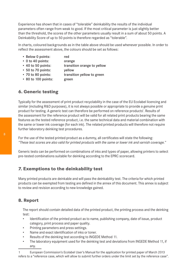Experience has shown that in cases of "tolerable" deinkability the results of the individual parameters often range from weak to good. If the most critical parameter is just slightly better than the threshold, the scores of the other parameters usually result in a sum of about 50 points. A Deinkability Score of up to 50 points is therefore regarded as "tolerable".

In charts, coloured backgrounds as in the table above should be used whenever possible. In order to reflect the assessment above, the colours should be set as follows:

- Below 0 points: red
- 0 to 40 points: orange
- 40 to 50 points: transition orange to yellow
- 50 to 70 points: yellow
- 70 to 80 points: transition yellow to green
- 80 to 100 points: green

# **6. Generic testing**

Typically for the assessment of print product recyclability in the case of the EU Ecolabel licencing and similar (including R&D purposes), it is not always possible or appropriate to provide a genuine print product for testing. A generic test can therefore be performed on reference products<sup>1</sup>. Results of the assessment for the reference product will be valid for all related print products bearing the same features as the tested reference product, i.e. the same technical data and material combination with the same or lower ink coverage (for each ink). The related printed products will therefore not require further laboratory deinking test procedures.

For the use of the tested printed product as a dummy, all certificates will state the following: *"These test scores are also valid for printed products with the same or lower ink and varnish coverage."*

Generic tests can be performed on combinations of inks and types of paper, allowing printers to select pre-tested combinations suitable for deinking according to the EPRC scorecard.

# **7. Exemptions to the deinkability test**

Many printed products are deinkable and will pass the deinkability test. The criteria for which printed products can be exempted from testing are defined in the annex of this document. This annex is subject to review and revision according to new knowledge gained.

# **8. Report**

The report should contain detailed data of the printed product, the printing process and the deinking test:

- Identification of the printed product as to name, publishing company, date of issue, product category, print process and paper quality.
- Printing parameters and press settings.
- Name and exact identification of inks or toner.
- Results of the deinking test according to INGEDE Method 11.
- The laboratory equipment used for the deinking test and deviations from INGEDE Method 11, if any.

<sup>1</sup> European Commission's Ecolabel User's Manual for the application for printed paper of March 2013 refers to a "reference case, which will allow to submit further orders under the limit set by the reference case".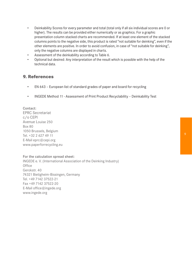- Deinkability Scores for every parameter and total (total only if all six individual scores are 0 or higher). The results can be provided either numerically or as graphics. For a graphic presentation column stacked charts are recommended. If at least one element of the stacked columns points to the negative side, this product is rated "not suitable for deinking", even if the other elements are positive. In order to avoid confusion, in case of "not suitable for deinking", only the negative columns are displayed in charts.
- Assessment of the deinkability according to Table 6.
- Optional but desired: Any interpretation of the result which is possible with the help of the technical data.

### **9. References**

- EN 643 European list of standard grades of paper and board for recycling
- INGEDE Method 11 Assessment of Print Product Recyclability Deinkability Test

Contact: EPRC Secretariat c/o CEPI Avenue Louise 250 Box 80 1050 Brussels, Belgium Tel. +32 2 627 49 11 E-Mail eprc@cepi.org www.paperforrecycling.eu

For the calculation spread sheet: INGEDE e. V. (International Association of the Deinking Industry) **Office** Gerokstr. 40 74321 Bietigheim-Bissingen, Germany Tel. +49 7142 37522-21 Fax +49 7142 37522-20 E-Mail office@ingede.org www.ingede.org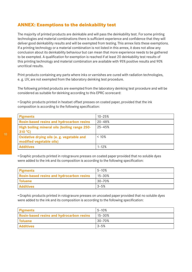# **ANNEX: Exemptions to the deinkability test**

The majority of printed products are deinkable and will pass the deinkability test. For some printing technologies and material combinations there is sufficient experience and confidence that they will deliver good deinkability results and will be exempted from testing. This annex lists these exemptions. If a printing technology or a material combination is not listed in this annex, it does not allow any conclusion about its deinkability behaviour but can mean that more experience needs to be gathered to be exempted. A qualification for exemption is reached if at least 20 deinkability test results of this printing technology and material combination are available with 95% positive results and 90% uncritical results.

Print products containing any parts where inks or varnishes are cured with radiation technologies, e. g. UV, are not exempted from the laboratory deinking test procedure.

The following printed products are exempted from the laboratory deinking test procedure and will be considered as suitable for deinking according to this EPRC scorecard:

• Graphic products printed in heatset offset presses on coated paper, provided that the ink composition is according to the following specification:

| Pigments                                                               | $10 - 25%$ |
|------------------------------------------------------------------------|------------|
| <b>Rosin-based resins and hydrocarbon resins</b>                       | $20 - 48%$ |
| High boiling mineral oils (boiling range 250-<br>310 °C)               | $25 - 45%$ |
| Oxidative drying oils (e. g. vegetable and<br>modified vegetable oils) | < 10%      |
| <b>Additives</b>                                                       | $1 - 12%$  |

• Graphic products printed in rotogravure presses on coated paper provided that no soluble dyes were added to the ink and its composition is according to the following specification:

| Pigments                                  | $5 - 10%$   |
|-------------------------------------------|-------------|
| Rosin-based resins and hydrocarbon resins | $15 - 30\%$ |
| <b>Toluene</b>                            | l 30–70%    |
| <b>Additives</b>                          | $13 - 5%$   |

• Graphic products printed in rotogravure presses on uncoated paper provided that no soluble dyes were added to the ink and its composition is according to the following specification:

| <b>Pigments</b>                                  | $5 - 10%$ |
|--------------------------------------------------|-----------|
| <b>Rosin-based resins and hydrocarbon resins</b> | 15-30%    |
| <b>Toluene</b>                                   | 30–70%    |
| <b>Additives</b>                                 | 3-5%      |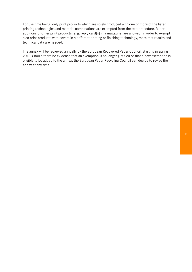For the time being, only print products which are solely produced with one or more of the listed printing technologies and material combinations are exempted from the test procedure. Minor additions of other print products, e. g. reply card(s) in a magazine, are allowed. In order to exempt also print products with covers in a different printing or finishing technology, more test results and technical data are needed.

The annex will be reviewed annually by the European Recovered Paper Council, starting in spring 2018. Should there be evidence that an exemption is no longer justified or that a new exemption is eligible to be added to the annex, the European Paper Recycling Council can decide to revise the annex at any time.